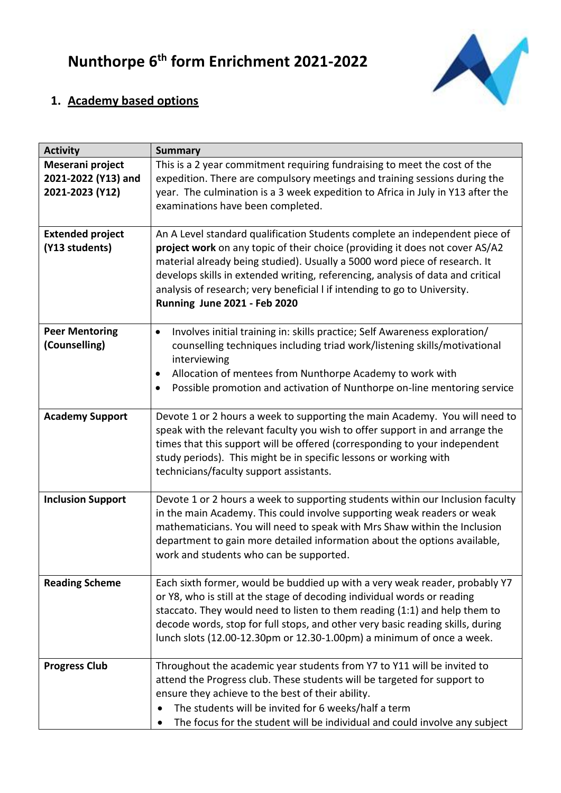

## **1. Academy based options**

| <b>Activity</b>                                            | <b>Summary</b>                                                                                                                                                                                                                                                                                                                                                                                                                            |
|------------------------------------------------------------|-------------------------------------------------------------------------------------------------------------------------------------------------------------------------------------------------------------------------------------------------------------------------------------------------------------------------------------------------------------------------------------------------------------------------------------------|
| Meserani project<br>2021-2022 (Y13) and<br>2021-2023 (Y12) | This is a 2 year commitment requiring fundraising to meet the cost of the<br>expedition. There are compulsory meetings and training sessions during the<br>year. The culmination is a 3 week expedition to Africa in July in Y13 after the<br>examinations have been completed.                                                                                                                                                           |
| <b>Extended project</b><br>(Y13 students)                  | An A Level standard qualification Students complete an independent piece of<br>project work on any topic of their choice (providing it does not cover AS/A2<br>material already being studied). Usually a 5000 word piece of research. It<br>develops skills in extended writing, referencing, analysis of data and critical<br>analysis of research; very beneficial I if intending to go to University.<br>Running June 2021 - Feb 2020 |
| <b>Peer Mentoring</b><br>(Counselling)                     | Involves initial training in: skills practice; Self Awareness exploration/<br>$\bullet$<br>counselling techniques including triad work/listening skills/motivational<br>interviewing<br>Allocation of mentees from Nunthorpe Academy to work with<br>$\bullet$<br>Possible promotion and activation of Nunthorpe on-line mentoring service<br>$\bullet$                                                                                   |
| <b>Academy Support</b>                                     | Devote 1 or 2 hours a week to supporting the main Academy. You will need to<br>speak with the relevant faculty you wish to offer support in and arrange the<br>times that this support will be offered (corresponding to your independent<br>study periods). This might be in specific lessons or working with<br>technicians/faculty support assistants.                                                                                 |
| <b>Inclusion Support</b>                                   | Devote 1 or 2 hours a week to supporting students within our Inclusion faculty<br>in the main Academy. This could involve supporting weak readers or weak<br>mathematicians. You will need to speak with Mrs Shaw within the Inclusion<br>department to gain more detailed information about the options available,<br>work and students who can be supported.                                                                            |
| <b>Reading Scheme</b>                                      | Each sixth former, would be buddied up with a very weak reader, probably Y7<br>or Y8, who is still at the stage of decoding individual words or reading<br>staccato. They would need to listen to them reading (1:1) and help them to<br>decode words, stop for full stops, and other very basic reading skills, during<br>lunch slots (12.00-12.30pm or 12.30-1.00pm) a minimum of once a week.                                          |
| <b>Progress Club</b>                                       | Throughout the academic year students from Y7 to Y11 will be invited to<br>attend the Progress club. These students will be targeted for support to<br>ensure they achieve to the best of their ability.<br>The students will be invited for 6 weeks/half a term<br>The focus for the student will be individual and could involve any subject                                                                                            |